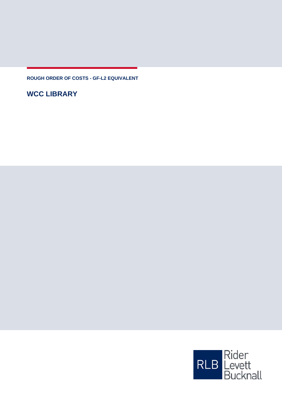**ROUGH ORDER OF COSTS - GF-L2 EQUIVALENT**

**WCC LIBRARY**

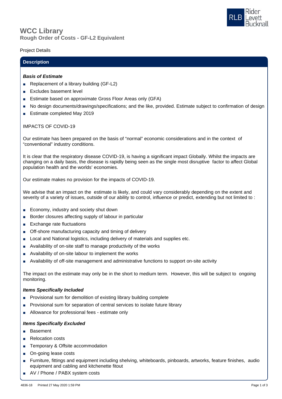

## **Rough Order of Costs - GF-L2 Equivalent WCC Library**

## Project Details

## **Description**

### *Basis of Estimate*

- Replacement of a library building (GF-L2)
- Excludes basement level
- Estimate based on approximate Gross Floor Areas only (GFA)
- No design documents/drawings/specifications; and the like, provided. Estimate subject to confirmation of design
- Estimate completed May 2019

## IMPACTS OF COVID-19

Our estimate has been prepared on the basis of "normal" economic considerations and in the context of "conventional" industry conditions.

It is clear that the respiratory disease COVID-19, is having a significant impact Globally. Whilst the impacts are changing on a daily basis, the disease is rapidly being seen as the single most disruptive factor to affect Global population health and the worlds' economies.

Our estimate makes no provision for the impacts of COVID-19.

We advise that an impact on the estimate is likely, and could vary considerably depending on the extent and severity of a variety of issues, outside of our ability to control, influence or predict, extending but not limited to :

- Economy, industry and society shut down
- Border closures affecting supply of labour in particular
- Exchange rate fluctuations
- Off-shore manufacturing capacity and timing of delivery
- Local and National logistics, including delivery of materials and supplies etc.
- Availability of on-site staff to manage productivity of the works
- Availability of on-site labour to implement the works
- Availability of off-site management and administrative functions to support on-site activity

The impact on the estimate may only be in the short to medium term. However, this will be subject to ongoing monitoring.

#### *Items Specifically Included*

- Provisional sum for demolition of existing library building complete
- Provisional sum for separation of central services to isolate future library
- Allowance for professional fees estimate only

#### *Items Specifically Excluded*

- Basement
- Relocation costs
- Temporary & Offsite accommodation
- On-going lease costs
- Furniture, fittings and equipment including shelving, whiteboards, pinboards, artworks, feature finishes, audio equipment and cabling and kitchenette fitout
- AV / Phone / PABX system costs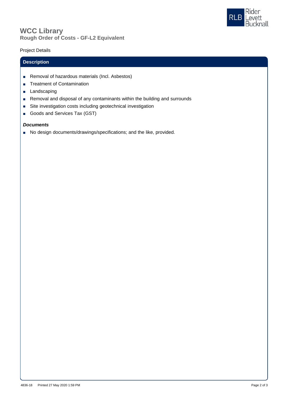

# **Rough Order of Costs - GF-L2 Equivalent WCC Library**

## Project Details

## **Description**

- Removal of hazardous materials (Incl. Asbestos)
- Treatment of Contamination
- Landscaping
- Removal and disposal of any contaminants within the building and surrounds
- Site investigation costs including geotechnical investigation
- Goods and Services Tax (GST)

## *Documents*

■ No design documents/drawings/specifications; and the like, provided.